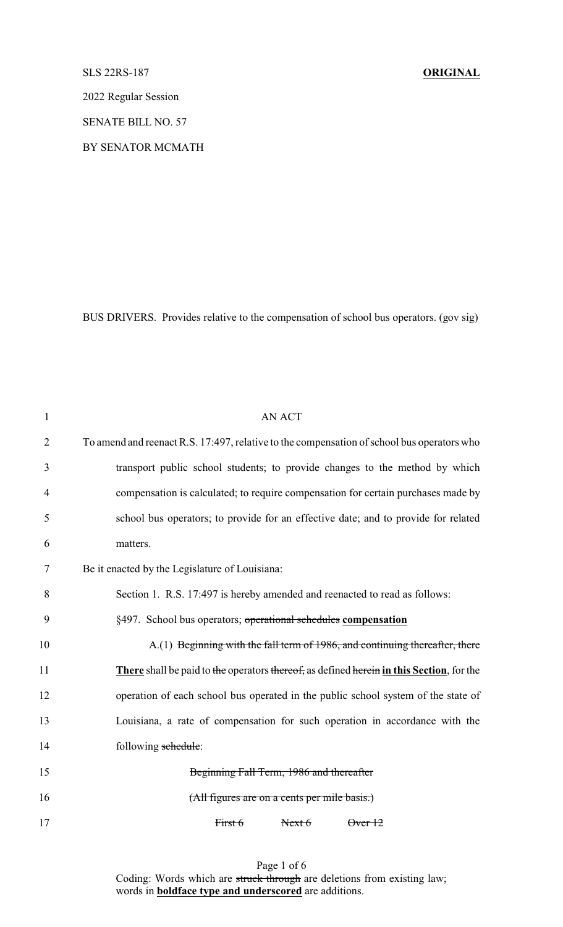## SLS 22RS-187 **ORIGINAL**

2022 Regular Session

SENATE BILL NO. 57

BY SENATOR MCMATH

BUS DRIVERS. Provides relative to the compensation of school bus operators. (gov sig)

| $\mathbf{1}$   | <b>AN ACT</b>                                                                              |
|----------------|--------------------------------------------------------------------------------------------|
| $\overline{2}$ | To amend and reenact R.S. 17:497, relative to the compensation of school bus operators who |
| 3              | transport public school students; to provide changes to the method by which                |
| 4              | compensation is calculated; to require compensation for certain purchases made by          |
| 5              | school bus operators; to provide for an effective date; and to provide for related         |
| 6              | matters.                                                                                   |
| 7              | Be it enacted by the Legislature of Louisiana:                                             |
| 8              | Section 1. R.S. 17:497 is hereby amended and reenacted to read as follows:                 |
| 9              | §497. School bus operators; operational schedules compensation                             |
| 10             | A.(1) Beginning with the fall term of 1986, and continuing thereafter, there               |
| 11             | There shall be paid to the operators thereof, as defined herein in this Section, for the   |
| 12             | operation of each school bus operated in the public school system of the state of          |
| 13             | Louisiana, a rate of compensation for such operation in accordance with the                |
| 14             | following schedule:                                                                        |
| 15             | Beginning Fall Term, 1986 and thereafter                                                   |
| 16             | (All figures are on a cents per mile basis.)                                               |
| 17             | First 6<br>Next 6<br>$\theta$ ver $12$                                                     |
|                |                                                                                            |

Page 1 of 6 Coding: Words which are struck through are deletions from existing law; words in **boldface type and underscored** are additions.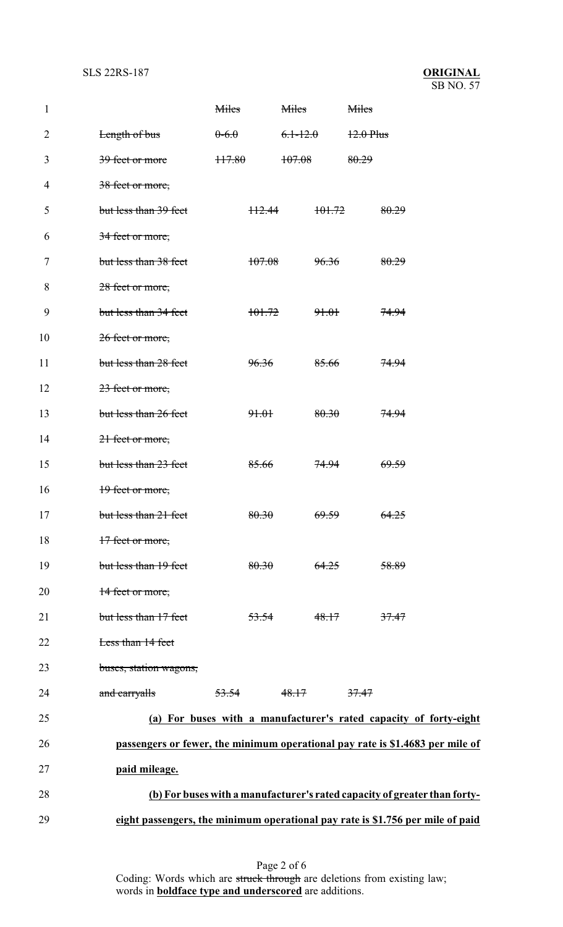| $\mathbf{1}$   |                                                                                | Miles            |                  | <b>Miles</b>     |                  | Miles            |                  |  |
|----------------|--------------------------------------------------------------------------------|------------------|------------------|------------------|------------------|------------------|------------------|--|
| $\overline{2}$ | Length of bus                                                                  | $0-6.0$          |                  | $6.1 - 12.0$     |                  | $12.0$ Plus      |                  |  |
| 3              | 39 feet or more                                                                | 117.80           |                  | 107.08           |                  | 80.29            |                  |  |
| 4              | 38 feet or more,                                                               |                  |                  |                  |                  |                  |                  |  |
| 5              | but less than 39 feet                                                          |                  | H2.44            |                  | 101.72           |                  | 80.29            |  |
| 6              | 34 feet or more,                                                               |                  |                  |                  |                  |                  |                  |  |
| 7              | but less than 38 feet                                                          |                  | 107.08           |                  | 96.36            |                  | 80.29            |  |
| 8              | 28 feet or more,                                                               |                  |                  |                  |                  |                  |                  |  |
| 9              | but less than 34 feet                                                          |                  | 101.72           |                  | <del>91.01</del> |                  | <del>74.94</del> |  |
| 10             | 26 feet or more,                                                               |                  |                  |                  |                  |                  |                  |  |
| 11             | but less than 28 feet                                                          |                  | 96.36            |                  | 85.66            |                  | <del>74.94</del> |  |
| 12             | 23 feet or more,                                                               |                  |                  |                  |                  |                  |                  |  |
| 13             | but less than 26 feet                                                          |                  | 91.01            |                  | 80.30            |                  | <del>74.94</del> |  |
| 14             | 21 feet or more,                                                               |                  |                  |                  |                  |                  |                  |  |
| 15             | but less than 23 feet                                                          |                  | 85.66            |                  | 74.94            |                  | <del>69.59</del> |  |
| 16             | 19 feet or more,                                                               |                  |                  |                  |                  |                  |                  |  |
| 17             | but less than 21 feet                                                          |                  | 80.30            |                  | 69.59            |                  | 64.25            |  |
| 18             | 17 feet or more,                                                               |                  |                  |                  |                  |                  |                  |  |
| 19             | but less than 19 feet                                                          |                  | 80.30            |                  | 64.25            |                  | 58.89            |  |
| 20             | 14 feet or more,                                                               |                  |                  |                  |                  |                  |                  |  |
| 21             | but less than 17 feet                                                          |                  | <del>53.54</del> |                  | 48.17            |                  | 37.47            |  |
| 22             | Less than 14 feet                                                              |                  |                  |                  |                  |                  |                  |  |
| 23             | buses, station wagons,                                                         |                  |                  |                  |                  |                  |                  |  |
| 24             | and carryalls                                                                  | <del>53.54</del> |                  | <del>48.17</del> |                  | <del>37.47</del> |                  |  |
| 25             | (a) For buses with a manufacturer's rated capacity of forty-eight              |                  |                  |                  |                  |                  |                  |  |
| 26             | passengers or fewer, the minimum operational pay rate is \$1.4683 per mile of  |                  |                  |                  |                  |                  |                  |  |
| 27             | paid mileage.                                                                  |                  |                  |                  |                  |                  |                  |  |
| 28             | (b) For buses with a manufacturer's rated capacity of greater than forty-      |                  |                  |                  |                  |                  |                  |  |
| 29             | eight passengers, the minimum operational pay rate is \$1.756 per mile of paid |                  |                  |                  |                  |                  |                  |  |

Page 2 of 6 Coding: Words which are struck through are deletions from existing law; words in **boldface type and underscored** are additions.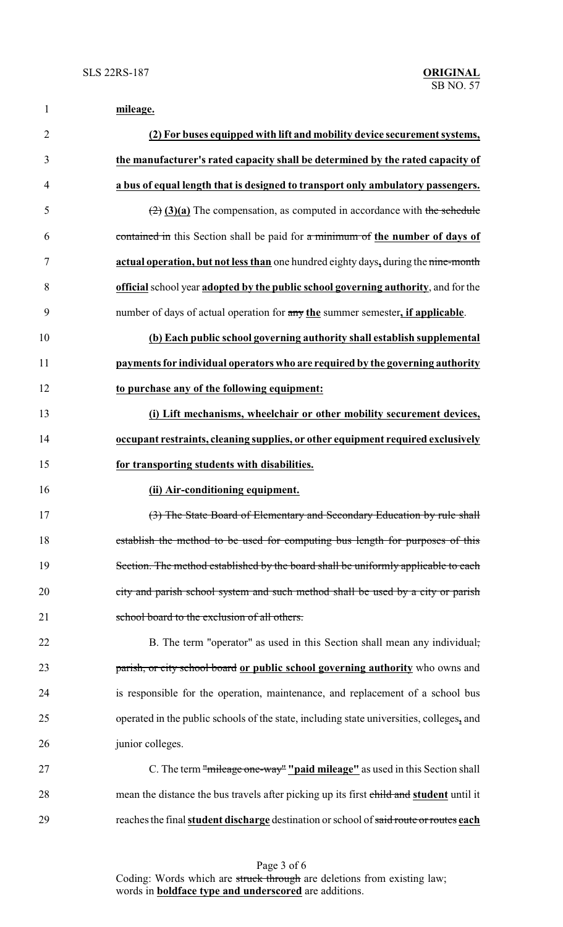| 1              | mileage.                                                                                        |
|----------------|-------------------------------------------------------------------------------------------------|
| $\overline{2}$ | (2) For buses equipped with lift and mobility device securement systems,                        |
| 3              | the manufacturer's rated capacity shall be determined by the rated capacity of                  |
| 4              | a bus of equal length that is designed to transport only ambulatory passengers.                 |
| 5              | $\left(\frac{2}{2}\right)$ (3)(a) The compensation, as computed in accordance with the schedule |
| 6              | contained in this Section shall be paid for a minimum of the number of days of                  |
| $\tau$         | actual operation, but not less than one hundred eighty days, during the nine-month              |
| 8              | official school year adopted by the public school governing authority, and for the              |
| 9              | number of days of actual operation for any the summer semester, if applicable.                  |
| 10             | (b) Each public school governing authority shall establish supplemental                         |
| 11             | payments for individual operators who are required by the governing authority                   |
| 12             | to purchase any of the following equipment:                                                     |
| 13             | (i) Lift mechanisms, wheelchair or other mobility securement devices,                           |
| 14             | occupant restraints, cleaning supplies, or other equipment required exclusively                 |
| 15             | for transporting students with disabilities.                                                    |
| 16             | (ii) Air-conditioning equipment.                                                                |
| 17             | (3) The State Board of Elementary and Secondary Education by rule shall                         |
| 18             | establish the method to be used for computing bus length for purposes of this                   |
| 19             | Section. The method established by the board shall be uniformly applicable to each              |
| 20             | city and parish school system and such method shall be used by a city or parish                 |
| 21             | school board to the exclusion of all others.                                                    |
| 22             | B. The term "operator" as used in this Section shall mean any individual,                       |
| 23             | parish, or city school board or public school governing authority who owns and                  |
| 24             | is responsible for the operation, maintenance, and replacement of a school bus                  |
| 25             | operated in the public schools of the state, including state universities, colleges, and        |
| 26             | junior colleges.                                                                                |
| 27             | C. The term "mileage one-way" "paid mileage" as used in this Section shall                      |
| 28             | mean the distance the bus travels after picking up its first child and student until it         |
| 29             | reaches the final student discharge destination or school of said route or routes each          |

Page 3 of 6 Coding: Words which are struck through are deletions from existing law; words in **boldface type and underscored** are additions.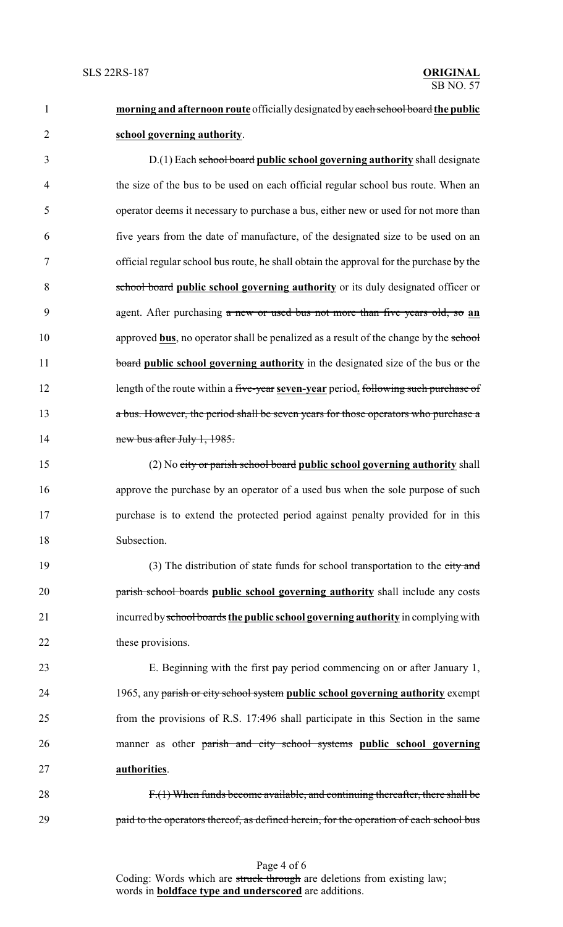**morning and afternoon route** officiallydesignated byeach school board **the public school governing authority**.

 D.(1) Each school board **public school governing authority** shall designate the size of the bus to be used on each official regular school bus route. When an operator deems it necessary to purchase a bus, either new or used for not more than five years from the date of manufacture, of the designated size to be used on an official regular school bus route, he shall obtain the approval for the purchase by the school board **public school governing authority** or its duly designated officer or agent. After purchasing a new or used bus not more than five years old, so **an** 10 approved **bus**, no operator shall be penalized as a result of the change by the school **board public school governing authority** in the designated size of the bus or the length of the route within a five-year **seven-year** period**.** following such purchase of a bus. However, the period shall be seven years for those operators who purchase a 14 new bus after July 1, 1985.

 (2) No city or parish school board **public school governing authority** shall approve the purchase by an operator of a used bus when the sole purpose of such purchase is to extend the protected period against penalty provided for in this Subsection.

19 (3) The distribution of state funds for school transportation to the city and parish school boards **public school governing authority** shall include any costs incurred byschool boards **the public school governing authority** in complyingwith 22 these provisions.

 E. Beginning with the first pay period commencing on or after January 1, 1965, any parish or city school system **public school governing authority** exempt from the provisions of R.S. 17:496 shall participate in this Section in the same manner as other parish and city school systems **public school governing authorities**.

 F.(1) When funds become available, and continuing thereafter, there shall be **paid to the operators thereof, as defined herein, for the operation of each school bus** 

> Page 4 of 6 Coding: Words which are struck through are deletions from existing law; words in **boldface type and underscored** are additions.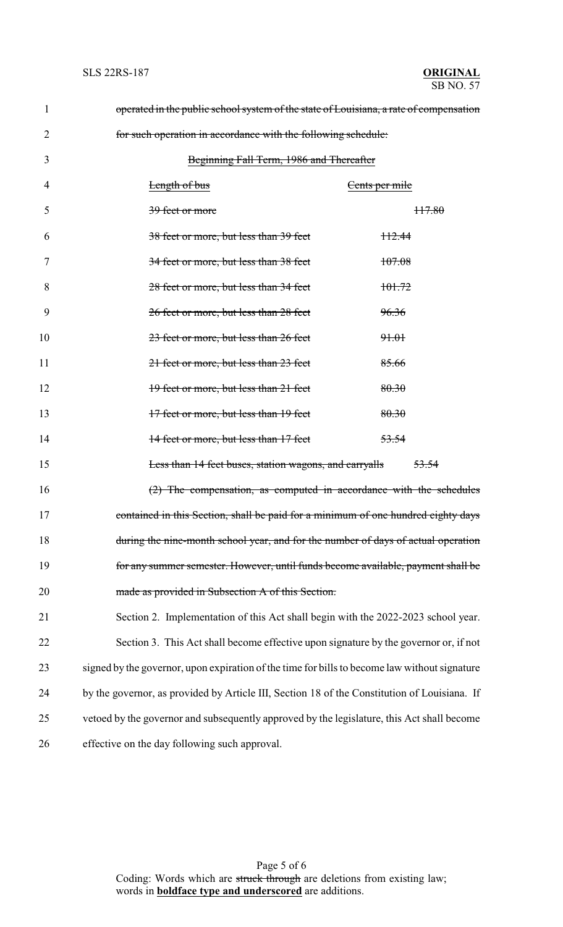| $\mathbf{1}$ | operated in the public school system of the state of Louisiana, a rate of compensation        |                   |  |  |  |  |  |
|--------------|-----------------------------------------------------------------------------------------------|-------------------|--|--|--|--|--|
| 2            | for such operation in accordance with the following schedule:                                 |                   |  |  |  |  |  |
| 3            | Beginning Fall Term, 1986 and Thereafter                                                      |                   |  |  |  |  |  |
| 4            | <b>Length of bus</b>                                                                          | Cents per mile    |  |  |  |  |  |
| 5            | <del>39 feet or more</del>                                                                    | H7.80             |  |  |  |  |  |
| 6            | 38 feet or more, but less than 39 feet                                                        | H <sub>2.44</sub> |  |  |  |  |  |
| 7            | 34 feet or more, but less than 38 feet                                                        | 107.08            |  |  |  |  |  |
| 8            | 28 feet or more, but less than 34 feet                                                        | 101.72            |  |  |  |  |  |
| 9            | 26 feet or more, but less than 28 feet                                                        | 96.36             |  |  |  |  |  |
| 10           | 23 feet or more, but less than 26 feet                                                        | <del>91.01</del>  |  |  |  |  |  |
| 11           | 21 feet or more, but less than 23 feet                                                        | 85.66             |  |  |  |  |  |
| 12           | 19 feet or more, but less than 21 feet                                                        | 80.30             |  |  |  |  |  |
| 13           | 17 feet or more, but less than 19 feet                                                        | 80.30             |  |  |  |  |  |
| 14           | 14 feet or more, but less than 17 feet                                                        | 53.54             |  |  |  |  |  |
| 15           | Less than 14 feet buses, station wagons, and carryalls                                        | 53.54             |  |  |  |  |  |
| 16           | (2) The compensation, as computed in accordance with the schedules                            |                   |  |  |  |  |  |
| 17           | contained in this Section, shall be paid for a minimum of one hundred eighty days             |                   |  |  |  |  |  |
| 18           | during the nine-month school year, and for the number of days of actual operation             |                   |  |  |  |  |  |
| 19           | for any summer semester. However, until funds become available, payment shall be              |                   |  |  |  |  |  |
| 20           | made as provided in Subsection A of this Section.                                             |                   |  |  |  |  |  |
| 21           | Section 2. Implementation of this Act shall begin with the 2022-2023 school year.             |                   |  |  |  |  |  |
| 22           | Section 3. This Act shall become effective upon signature by the governor or, if not          |                   |  |  |  |  |  |
| 23           | signed by the governor, upon expiration of the time for bills to become law without signature |                   |  |  |  |  |  |
| 24           | by the governor, as provided by Article III, Section 18 of the Constitution of Louisiana. If  |                   |  |  |  |  |  |
| 25           | vetoed by the governor and subsequently approved by the legislature, this Act shall become    |                   |  |  |  |  |  |
| 26           | effective on the day following such approval.                                                 |                   |  |  |  |  |  |
|              |                                                                                               |                   |  |  |  |  |  |